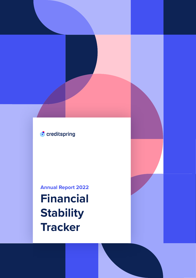## • creditspring

**Annual Report 2022**

**Financial Stability Tracker**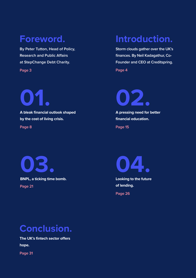## **Foreword.**

**By Peter Tutton, Head of Policy, Research and Public Affairs at StepChange Debt Charity.**

**Page 3**

**01. A bleak financial outlook shaped by the cost of living crisis. Page 8**

## **Introduction.**

**Storm clouds gather over the UK's finances. By Neil Kadagathur, Co-Founder and CEO at Creditspring.** 

**Page 4**

**02.**

**A pressing need for better financial education. Page 15**

**03. BNPL, a ticking time bomb. Page 21**



**Looking to the future of lending.**

**Page 26**

## **Conclusion.**

**The UK's fintech sector offers hope.**

**Page 31**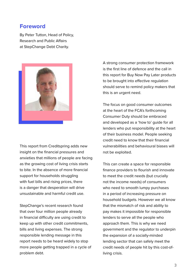### **Foreword**

By Peter Tutton, Head of Policy, Research and Public Affairs at StepChange Debt Charity.



This report from Creditspring adds new insight on the financial pressures and anxieties that millions of people are facing as the growing cost of living crisis starts to bite. In the absence of more financial support for households struggling with fuel bills and rising prices, there is a danger that desperation will drive unsustainable and harmful credit use.

StepChange's recent research found that over four million people already in financial difficulty are using credit to keep up with other credit commitments, bills and living expenses. The strong responsible lending message in this report needs to be heard widely to stop more people getting trapped in a cycle of problem debt.

A strong consumer protection framework is the first line of defence and the call in this report for Buy Now Pay Later products to be brought into effective regulation should serve to remind policy makers that this is an urgent need.

The focus on good consumer outcomes at the heart of the FCA's forthcoming Consumer Duty should be embraced and developed as a 'how to' guide for all lenders who put responsibility at the heart of their business model. People seeking credit need to know that their financial vulnerabilities and behavioural biases will not be exploited.

This can create a space for responsible finance providers to flourish and innovate to meet the credit needs (but crucially not the income needs) of consumers who need to smooth lumpy purchases in a period of increasing pressure on household budgets. However we all know that the mismatch of risk and ability to pay makes it impossible for responsible lenders to serve all the people who approach them. This is why we need government and the regulator to underpin the expansion of a socially-minded lending sector that can safely meet the credit needs of people hit by this cost-ofliving crisis.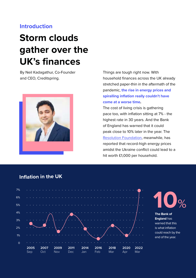## **Introduction**

## **Storm clouds gather over the UK's finances**

By Neil Kadagathur, Co-Founder and CEO, Creditspring.



Things are tough right now. With household finances across the UK already stretched paper-thin in the aftermath of the pandemic, **the rise in energy prices and spiralling inflation really couldn't have come at a worse time.** 

The cost of living crisis is gathering pace too, with inflation sitting at 7% - the highest rate in 30 years. And the Bank of England has warned that it could peak close to 10% later in the year. The [Resolution Foundation](https://www.theguardian.com/business/2022/mar/08/uk-household-incomes-decline-resolution-foundation-ukraine-conflict-energy-prices), meanwhile, has reported that record-high energy prices amidst the Ukraine conflict could lead to a hit worth £1,000 per household.

### **Inflation in the UK**





**The Bank of England** has warned that this is what inflation could reach by the end of the year.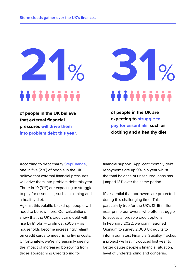**of people in the UK believe that external financial pressures will drive them into problem debt this year.**

**21**% **31**%

**of people in the UK are expecting to struggle to pay for essentials, such as clothing and a healthy diet.** 

According to debt charity [StepChange,](https://www.stepchange.org/media-centre/press-releases/debt-awareness-week-2022.aspx) one in five (21%) of people in the UK believe that external financial pressures will drive them into problem debt this year. Three in 10 (31%) are expecting to struggle to pay for essentials, such as clothing and a healthy diet.

Against this volatile backdrop, people will need to borrow more. Our calculations show that the UK's credit card debt will rise by £1.5bn – to almost £60bn – as households become increasingly reliant on credit cards to meet rising living costs. Unfortunately, we're increasingly seeing the impact of increased borrowing from those approaching Creditspring for

financial support. Applicant monthly debt repayments are up 9% in a year whilst the total balance of unsecured loans has jumped 13% over the same period.

It's essential that borrowers are protected during this challenging time. This is particularly true for the UK's 12-15 million near-prime borrowers, who often struggle to access affordable credit options. In February 2022, we commissioned Opinium to survey 2,000 UK adults to inform our latest Financial Stability Tracker, a project we first introduced last year to better gauge people's financial situation, level of understanding and concerns.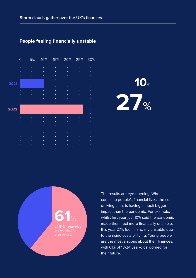#### **People feeling financially unstable**

|      | $\overline{O}$ | 5%     | 10%    |        | 15% 20% 25% |           | 30%                    |            |
|------|----------------|--------|--------|--------|-------------|-----------|------------------------|------------|
|      | ٠              |        |        | ٠      |             |           | ٠                      |            |
|      | ٠              | ٠      | ٠      | ٠      | ٠           | ٠         | ٠                      |            |
|      | ٠              | ٠      | ٠      | ٠      | ٠<br>٠      | ٠<br>٠    | $\bullet$<br>٠         |            |
| 2021 |                |        |        |        | ٠           | ٠         | $\bullet$              | <b>10%</b> |
|      |                |        |        | ٠      | ٠           | ٠         | ٠                      |            |
|      |                | ٠      | ٠      | ٠      | ٠           | $\bullet$ | ٠                      |            |
|      | ٠              | ٠      | ٠      | ٠<br>٠ | ٠<br>٠      | ٠<br>٠    | $\bullet$<br>$\bullet$ |            |
|      |                | ٠      | ٠      | ۰      | ٠           | ٠         | $\bullet$              |            |
|      |                |        |        |        |             |           | ٠                      | 27%        |
| 2022 |                |        |        |        |             |           | ٠                      |            |
|      |                |        |        |        |             |           | ٠                      |            |
|      |                | ٠      |        |        | ٠           |           | ٠                      |            |
|      |                | ٠      | ٠      | ۰      | ٠           | ٠         | ٠                      |            |
|      |                | ٠      | ٠      | ٠      | ٠           | ٠         | $\bullet$              |            |
|      |                | ٠<br>٠ | ٠<br>٠ | ٠<br>٠ | ٠<br>٠      | ٠<br>٠    | $\bullet$<br>٠         |            |
|      |                | ٠      | ٠      | ٠      | ٠           | ٠         | ٠                      |            |
|      |                |        | ٠      | ٠      |             |           | ٠                      |            |
|      |                |        |        |        |             |           | ٠                      |            |
|      |                |        |        |        |             |           |                        |            |



The results are eye-opening. When it comes to people's financial lives, the cost of living crisis is having a much bigger impact than the pandemic. For example, whilst last year just 10% said the pandemic made them feel more financially unstable, this year 27% feel financially unstable due to the rising costs of living. Young people are the most anxious about their finances, with 61% of 18-24 year-olds worried for their future.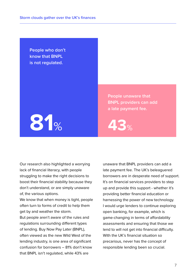**People who don't know that BNPL is not regulated.**



**People unaware that BNPL providers can add a late payment fee.**

Our research also highlighted a worrying lack of financial literacy, with people struggling to make the right decisions to boost their financial stability because they don't understand, or are simply unaware of, the various options.

We know that when money is tight, people often turn to forms of credit to help them get by and weather the storm.

But people aren't aware of the rules and regulations surrounding different types of lending. Buy Now Pay Later (BNPL), often viewed as the new Wild West of the lending industry, is one area of significant confusion for borrowers – 81% don't know that BNPL isn't regulated, while 43% are

unaware that BNPL providers can add a late payment fee. The UK's beleaguered borrowers are in desperate need of support. It's on financial services providers to step up and provide this support - whether it's providing better financial education or harnessing the power of new technology. I would urge lenders to continue exploring open banking, for example, which is game-changing in terms of affordability assessments and ensuring that those we lend to will not get into financial difficulty. With the UK's financial situation so precarious, never has the concept of responsible lending been so crucial.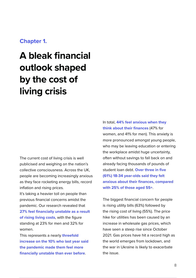### **Chapter 1.**

## **A bleak financial outlook shaped by the cost of living crisis**

The current cost of living crisis is well publicised and weighing on the nation's collective consciousness. Across the UK, people are becoming increasingly anxious as they face rocketing energy bills, record inflation and rising prices.

It's taking a heavier toll on people than previous financial concerns amidst the pandemic. Our research revealed that **27% feel financially unstable as a result of rising living costs**, with the figure standing at 23% for men and 32% for women.

This represents a nearly **threefold increase on the 10% who last year said the pandemic made them feel more financially unstable than ever before**.

In total, **44% feel anxious when they think about their finances** (47% for women, and 41% for men). This anxiety is more pronounced amongst young people, who may be leaving education or entering the workplace amidst huge uncertainty, often without savings to fall back on and already facing thousands of pounds of student loan debt. **Over three in five (61%) 18-34 year-olds said they felt anxious about their finances, compared with 25% of those aged 55+**.

The biggest financial concern for people is rising utility bills (63%) followed by the rising cost of living (55%). The price hike for utilities has been caused by an increase in wholesale gas prices, which have seen a steep rise since October 2021. Gas prices have hit a record high as the world emerges from lockdown, and the war in Ukraine is likely to exacerbate the issue.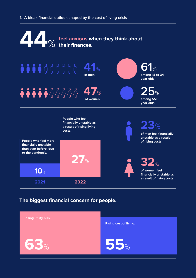#### **1. A bleak financial outlook shaped by the cost of living crisis**



#### **The biggest financial concern for people.**

| <b>Rising utility bills.</b> | <b>Rising cost of living.</b> |
|------------------------------|-------------------------------|
| 163%                         | 55%                           |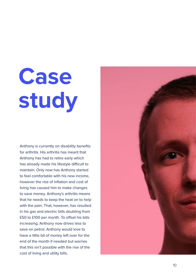## **Case study**

Anthony is currently on disability benefits for arthritis. His arthritis has meant that Anthony has had to retire early which has already made his lifestyle difficult to maintain. Only now has Anthony started to feel comfortable with his new income, however the rise of inflation and cost of living has caused him to make changes to save money. Anthony's arthritis means that he needs to keep the heat on to help with the pain. That, however, has resulted in his gas and electric bills doubling from £50 to £100 per month. To offset his bills increasing, Anthony now drives less to save on petrol. Anthony would love to have a little bit of money left over for the end of the month if needed but worries that this isn't possible with the rise of the cost of living and utility bills.

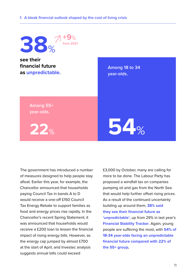

The government has introduced a number of measures designed to help people stay afloat. Earlier this year, for example, the Chancellor announced that households paying Council Tax in bands A to D would receive a one-off £150 Council Tax Energy Rebate to support families as food and energy prices rise rapidly. In the Chancellor's recent Spring Statement, it was announced that households would receive a £200 loan to lessen the financial impact of rising energy bills. However, as the energy cap jumped by almost £700 at the start of April, and Investec analysis suggests annual bills could exceed

£3,000 by October, many are calling for more to be done. The Labour Party has proposed a windfall tax on companies pumping oil and gas from the North Sea that would help further offset rising prices. As a result of the continued uncertainty building up around them, **38% said they see their financial future as 'unpredictable'**, up from 29% in last year's **Financial Stability Tracker**. Again, young people are suffering the most, with **54% of 18-34 year-olds facing an unpredictable financial future compared with 22% of the 55+ group.**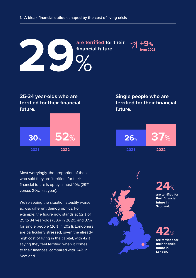

### **25-34 year-olds who are terrified for their financial future.**



Most worryingly, the proportion of those who said they are 'terrified' for their financial future is up by almost 10% (29% versus 20% last year).

We're seeing the situation steadily worsen across different demographics. For example, the figure now stands at 52% of 25 to 34 year-olds (30% in 2021), and 37% for single people (26% in 2021). Londoners are particularly stressed, given the already high cost of living in the capital, with 42% saying they feel terrified when it comes to their finances, compared with 24% in Scotland.

## **Single people who are terrified for their financial future.**





**are terrified for their financial future in Scotland. 24**%



**are terrified for their financial future in London.**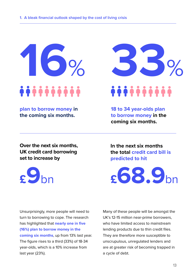

**plan to borrow money in the coming six months.**

**Over the next six months, UK credit card borrowing set to increase by** 



**33**%

**18 to 34 year-olds plan to borrow money in the coming six months.**

**In the next six months the total credit card bill is predicted to hit**

Unsurprisingly, more people will need to turn to borrowing to cope. The research has highlighted that **nearly one in five (16%) plan to borrow money in the coming six months**, up from 13% last year. The figure rises to a third (33%) of 18-34 year-olds, which is a 10% increase from last year (23%).

Many of these people will be amongst the UK's 12-15 million near-prime borrowers, who have limited access to mainstream lending products due to thin credit files. They are therefore more susceptible to unscrupulous, unregulated lenders and are at greater risk of becoming trapped in a cycle of debt.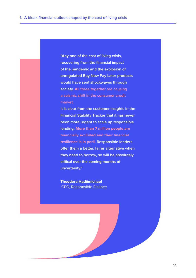**"Any one of the cost of living crisis, recovering from the financial impact of the pandemic and the explosion of unregulated Buy Now Pay Later products would have sent shockwaves through society. All three together are causing a seismic shift in the consumer credit market.**

**It is clear from the customer insights in the Financial Stability Tracker that it has never been more urgent to scale up responsible lending. More than 7 million people are financially excluded and their financial resilience is in peril. Responsible lenders offer them a better, fairer alternative when they need to borrow, so will be absolutely critical over the coming months of uncertainty."**

**Theodora Hadjimichael** CEO, [Responsible Finance](https://responsiblefinance.org.uk/)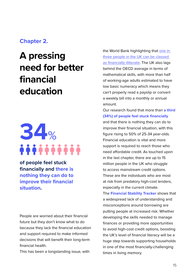## **Chapter 2.**

## **A pressing need for better financial education**

# **34**%

**of people feel stuck financially and there is nothing they can do to improve their financial situation.**

People are worried about their financial future but they don't know what to do because they lack the financial education and support required to make informed decisions that will benefit their long-term financial health.

This has been a longstanding issue, with

the World Bank highlighting that [one in](https://uk.news.yahoo.com/education-uk-schools-failing-students-on-financial-literacy-230123753.html?guccounter=1&guce_referrer=aHR0cHM6Ly93d3cuZ29vZ2xlLmNvbS8&guce_referrer_sig=AQAAAIz7835i-7utHbFvEeSW2KUdHBP1sTOu5Q-E3RsU-Idt9qIZKwzniL_4FytzLnPUP93CHXBYJKGIT5yo5j7NrR8ZN5q1D3eupseuALm3WwPiJxEU-IM6z9wEuaqn8C3RiMNfXMYkXcSu1071CxWHNB6Ncc5JuTte5BHDkooyo7Y1)  [three people in the UK can be classed](https://uk.news.yahoo.com/education-uk-schools-failing-students-on-financial-literacy-230123753.html?guccounter=1&guce_referrer=aHR0cHM6Ly93d3cuZ29vZ2xlLmNvbS8&guce_referrer_sig=AQAAAIz7835i-7utHbFvEeSW2KUdHBP1sTOu5Q-E3RsU-Idt9qIZKwzniL_4FytzLnPUP93CHXBYJKGIT5yo5j7NrR8ZN5q1D3eupseuALm3WwPiJxEU-IM6z9wEuaqn8C3RiMNfXMYkXcSu1071CxWHNB6Ncc5JuTte5BHDkooyo7Y1)  [as financially illiterate](https://uk.news.yahoo.com/education-uk-schools-failing-students-on-financial-literacy-230123753.html?guccounter=1&guce_referrer=aHR0cHM6Ly93d3cuZ29vZ2xlLmNvbS8&guce_referrer_sig=AQAAAIz7835i-7utHbFvEeSW2KUdHBP1sTOu5Q-E3RsU-Idt9qIZKwzniL_4FytzLnPUP93CHXBYJKGIT5yo5j7NrR8ZN5q1D3eupseuALm3WwPiJxEU-IM6z9wEuaqn8C3RiMNfXMYkXcSu1071CxWHNB6Ncc5JuTte5BHDkooyo7Y1). The UK also lags behind the OECD average in terms of mathematical skills, with more than half of working-age adults estimated to have low basic numeracy which means they can't properly read a payslip or convert a weekly bill into a monthly or annual amount.

Our research found that more than **a third (34%) of people feel stuck financially** and that there is nothing they can do to improve their financial situation, with this figure rising to 50% of 25-34 year-olds. Financial education is vital and more support is required to reach those who need affordable credit. As touched upon in the last chapter, there are up to 15 million people in the UK who struggle to access mainstream credit options. These are the individuals who are most at risk from predatory high-cost lenders, especially in the current climate.

The **Financial Stability Tracker** shows that a widespread lack of understanding and misconceptions around borrowing are putting people at increased risk. Whether developing the skills needed to manage finances or providing more opportunities to avoid high-cost credit options, boosting the UK's level of financial literacy will be a huge step towards supporting households in one of the most financially-challenging times in living memory.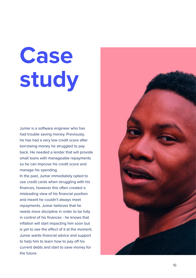## **Case study**

Jumar is a software engineer who has had trouble saving money. Previously, he has had a very low credit score after borrowing money he struggled to pay back. He needed a lender that will provide small loans with manageable repayments so he can improve his credit score and manage his spending.

In the past, Jumar immediately opted to use credit cards when struggling with his finances, however this often created a misleading view of his financial position and meant he couldn't always meet repayments. Jumar believes that he needs more discipline in order to be fully in control of his finances - he knows that inflation will start impacting him soon but is yet to see the effect of it at the moment. Jumar wants financial advice and support to help him to learn how to pay off his current debts and start to save money for the future.

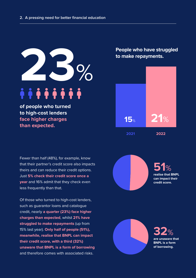

**of people who turned to high-cost lenders face higher charges than expected.**

Fewer than half (48%), for example, know that their partner's credit score also impacts theirs and can reduce their credit options. Just **5% check their credit score once a year** and 16% admit that they check even less frequently than that.

Of those who turned to high-cost lenders, such as guarantor loans and catalogue credit, nearly **a quarter (23%) face higher charges than expected**, whilst **21% have struggled to make repayments** (up from 15% last year). **Only half of people (51%), meanwhile, realise that BNPL can impact their credit score, with a third (32%) unaware that BNPL is a form of borrowing** and therefore comes with associated risks.

**People who have struggled to make repayments.**



**51**% **realise that BNPL can impact their credit score.**

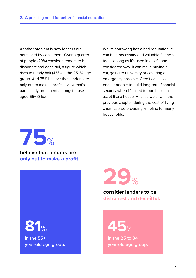Another problem is how lenders are perceived by consumers. Over a quarter of people (29%) consider lenders to be dishonest and deceitful, a figure which rises to nearly half (45%) in the 25-34 age group. And 75% believe that lenders are only out to make a profit, a view that's particularly prominent amongst those aged 55+ (81%).

Whilst borrowing has a bad reputation, it can be a necessary and valuable financial tool, so long as it's used in a safe and considered way. It can make buying a car, going to university or covering an emergency possible. Credit can also enable people to build long-term financial security when it's used to purchase an asset like a house. And, as we saw in the previous chapter, during the cost of living crisis it's also providing a lifeline for many households.



**believe that lenders are only out to make a profit.**



**in the 55+ year-old age group.**



#### **consider lenders to be dishonest and deceitful.**

**81**% **45**%

**in the 25 to 34 year-old age group.**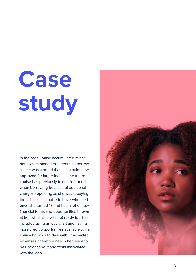## **Case study**

In the past, Louise accumulated minor debt which made her nervous to borrow as she was worried that she wouldn't be approved for larger loans in the future. Louise has previously felt misinformed when borrowing because of additional charges appearing as she was repaying the initial loan. Louise felt overwhelmed once she turned 18 and had a lot of new financial terms and opportunities thrown at her, which she was not ready for. This included using an overdraft and having more credit opportunities available to her. Louise borrows to deal with unexpected expenses, therefore needs her lender to be upfront about any costs associated with the loan.

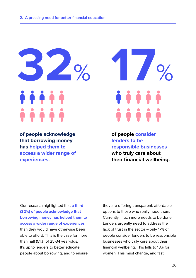**32**%

**of people acknowledge that borrowing money has helped them to access a wider range of experiences.**

**17**%

**of people consider lenders to be responsible businesses who truly care about their financial wellbeing.** 

Our research highlighted that **a third (32%) of people acknowledge that borrowing money has helped them to access a wider range of experiences** than they would have otherwise been able to afford. This is the case for more than half (51%) of 25-34 year-olds. It's up to lenders to better educate people about borrowing, and to ensure

they are offering transparent, affordable options to those who really need them. Currently, much more needs to be done. Lenders urgently need to address the lack of trust in the sector – only 17% of people consider lenders to be responsible businesses who truly care about their financial wellbeing. This falls to 13% for women. This must change, and fast.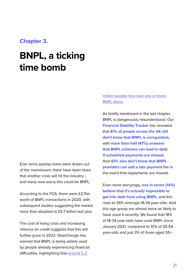#### **Chapter 3.**

## **BNPL, a ticking time bomb**

Ever since payday loans were driven out of the mainstream, there have been fears that another crisis will hit the industry and many now worry this could be BNPL.

According to the FCA, there were £2.7bn worth of BNPL transactions in 2020, with subsequent studies suggesting the market more than doubled to £5.7 billion last year.

The cost of living crisis and increasing reliance on credit suggests that this will further grow in 2022. StepChange has warned that BNPL is being widely used by people already experiencing financial difficulties, highlighting that [around 5.2](https://www.google.com/url?q=https://www.independent.co.uk/life-style/buy-now-pay-later-shopping-uk-b1994686.html&sa=D&source=docs&ust=1650993098461715&usg=AOvVaw11e9s2sPmkrism4PRC6Wm8) 

#### [million people now own one or more](https://www.google.com/url?q=https://www.independent.co.uk/life-style/buy-now-pay-later-shopping-uk-b1994686.html&sa=D&source=docs&ust=1650993098461715&usg=AOvVaw11e9s2sPmkrism4PRC6Wm8)  [BNPL items.](https://www.google.com/url?q=https://www.independent.co.uk/life-style/buy-now-pay-later-shopping-uk-b1994686.html&sa=D&source=docs&ust=1650993098461715&usg=AOvVaw11e9s2sPmkrism4PRC6Wm8)

As briefly mentioned in the last chapter, BNPL is dangerously misunderstood. Our **Financial Stability Tracker** has revealed that **81% of people across the UK still don't know that BNPL is unregulated,**  with **more than half (47%) unaware that BNPL schemes can lead to debt if scheduled payments are missed.**  And **43% also don't know that BNPL providers can add a late payment fee** in the event that repayments are missed.

Even more worryingly, **one in seven (14%) believe that it's actually impossible to get into debt from using BNPL**, and this rises to 26% amongst 18-34 year-olds. And this age group are almost twice as likely to have used it recently. We found that 18% of 18-34 year-olds have used BNPL since January 2021, compared to 10% of 35-54 year-olds and just 3% of those aged 55+.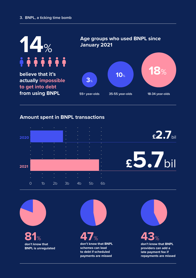

#### **Amount spent in BNPL transactions**





**81**% **43**% **don't know that BNPL is unregulated**

**47**% **don't know that BNPL schemes can lead to debt if scheduled payments are missed**

**don't know that BNPL providers can add a late payment fee if repayments are missed**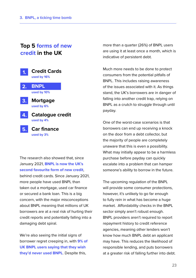## **Top 5 forms of new credit in the UK**

**Mortgage used by 6% 3. Car finance used by 3% 5. Catalogue credit used by 4% 4. Credit Cards used by 16% 1. 2. BNPL used by 10%**

The research also showed that, since January 2021, **BNPL is now the UK's second favourite form of new credit**, behind credit cards. Since January 2021, more people have used BNPL than taken out a mortgage, used car finance or secured a bank loan. This is a big concern, with the major misconceptions about BNPL meaning that millions of UK borrowers are at a real risk of hurting their credit reports and potentially falling into a damaging debt spiral.

We're also seeing the initial signs of borrower regret creeping in, with **9% of UK BNPL users saying that they wish they'd never used BNPL**. Despite this,

more than a quarter (26%) of BNPL users are using it at least once a month, which is indicative of persistent debt.

Much more needs to be done to protect consumers from the potential pitfalls of BNPL. This includes raising awareness of the issues associated with it. As things stand, the UK's borrowers are in danger of falling into another credit trap, relying on BNPL as a crutch to struggle through until payday.

One of the worst-case scenarios is that borrowers can end up receiving a knock on the door from a debt collector, but the majority of people are completely unaware that this is even a possibility. What may initially appear to be a harmless purchase before payday can quickly escalate into a problem that can hamper someone's ability to borrow in the future.

The upcoming regulation of the BNPL will provide some consumer protections, however, it's unlikely to go far enough to fully rein in what has become a huge market. Affordability checks in the BNPL sector simply aren't robust enough. BNPL providers aren't required to report repayment history to credit reference agencies, meaning other lenders won't know how much BNPL debt an applicant may have. This reduces the likelihood of responsible lending, and puts borrowers at a greater risk of falling further into debt.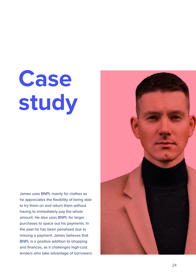## **Case study**

James uses BNPL mainly for clothes as he appreciates the flexibility of being able to try them on and return them without having to immediately pay the whole amount. He also uses BNPL for larger purchases to space out his payments. In the past he has been penalised due to missing a payment. James believes that BNPL is a positive addition to shopping and finances, as it challenges high-cost lenders who take advantage of borrowers.

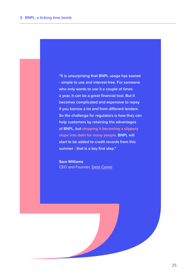**"It is unsurprising that BNPL usage has soared - simple to use and interest-free. For someone who only wants to use it a couple of times a year, it can be a great financial tool. But it becomes complicated and expensive to repay if you borrow a lot and from different lenders. So the challenge for regulators is how they can help customers by retaining the advantages of BNPL, but stopping it becoming a slippery slope into debt for many people. BNPL will start to be added to credit records from this summer - that is a key first step."**

**Sara Williams** CEO and Founder, [Debt Camel](https://debtcamel.co.uk/)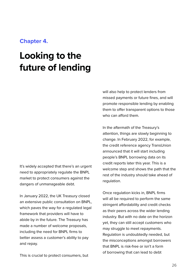### **Chapter 4.**

## **Looking to the future of lending**

It's widely accepted that there's an urgent need to appropriately regulate the BNPL market to protect consumers against the dangers of unmanageable debt.

In January 2022, the UK Treasury closed an extensive public consultation on BNPL, which paves the way for a regulated legal framework that providers will have to abide by in the future. The Treasury has made a number of welcome proposals, including the need for BNPL firms to better assess a customer's ability to pay and repay.

This is crucial to protect consumers, but

will also help to protect lenders from missed payments or future fines, and will promote responsible lending by enabling them to offer transparent options to those who can afford them.

In the aftermath of the Treasury's attention, things are slowly beginning to change. In February 2022, for example, the credit reference agency TransUnion announced that it will start including people's BNPL borrowing data on its credit reports later this year. This is a welcome step and shows the path that the rest of the industry should take ahead of regulation.

Once regulation kicks in, BNPL firms will all be required to perform the same stringent affordability and credit checks as their peers across the wider lending industry. But with no date on the horizon yet, they can still accept customers who may struggle to meet repayments. Regulation is undoubtedly needed, but the misconceptions amongst borrowers that BNPL is risk-free or isn't a form of borrowing that can lead to debt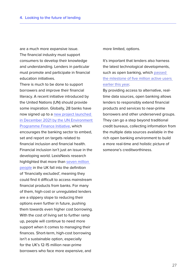are a much more expansive issue. The financial industry must support consumers to develop their knowledge and understanding. Lenders in particular must promote and participate in financial education initiatives.

There is much to be done to support borrowers and improve their financial literacy. A recent initiative introduced by the United Nations (UN) should provide some inspiration. Globally, 28 banks have now signed up to a [new project launched](https://capitalmonitor.ai/factor/social/banks-sharpen-focus-on-financial-education/)  [in December 2021 by the UN Environment](https://capitalmonitor.ai/factor/social/banks-sharpen-focus-on-financial-education/)  [Programme Finance Initiative](https://capitalmonitor.ai/factor/social/banks-sharpen-focus-on-financial-education/), which encourages the banking sector to embed, set and report on targets related to financial inclusion and financial health. Financial inclusion isn't just an issue in the developing world. LexisNexis research highlighted that more than [seven million](https://risk.lexisnexis.co.uk/insights-resources/article/financial-exclusion-in-the-uk)  [people](https://risk.lexisnexis.co.uk/insights-resources/article/financial-exclusion-in-the-uk) in the UK fall into the definition of 'financially excluded', meaning they could find it difficult to access mainstream financial products from banks. For many of them, high-cost or unregulated lenders are a slippery slope to reducing their options even further in future, pushing them towards even higher cost borrowing. With the cost of living set to further ramp up, people will continue to need more support when it comes to managing their finances. Short-term, high-cost borrowing isn't a sustainable option, especially for the UK's 12-15 million near-prime borrowers who face more expensive, and

more limited, options.

It's important that lenders also harness the latest technological developments, such as open banking, which [passed](https://www.altfi.com/article/8848_uk-reaches-milestone-of-5-million-open-banking-users#:~:text=%E2%80%9COpen%20banking%20was%20predicated%20on,the%20benefits%20of%20open%20banking.%E2%80%9D)  [the milestone of five million active users](https://www.altfi.com/article/8848_uk-reaches-milestone-of-5-million-open-banking-users#:~:text=%E2%80%9COpen%20banking%20was%20predicated%20on,the%20benefits%20of%20open%20banking.%E2%80%9D)  [earlier this year](https://www.altfi.com/article/8848_uk-reaches-milestone-of-5-million-open-banking-users#:~:text=%E2%80%9COpen%20banking%20was%20predicated%20on,the%20benefits%20of%20open%20banking.%E2%80%9D).

By providing access to alternative, realtime data sources, open banking allows lenders to responsibly extend financial products and services to near-prime borrowers and other underserved groups. They can go a step beyond traditional credit bureaus, collecting information from the multiple data sources available in the rich open banking environment to build a more real-time and holistic picture of someone's creditworthiness.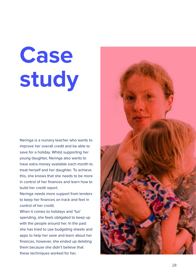## **Case study**

Neringa is a nursery teacher who wants to improve her overall credit and be able to save for a holiday. Whilst supporting her young daughter, Neringa also wants to have extra money available each month to treat herself and her daughter. To achieve this, she knows that she needs to be more in control of her finances and learn how to build her credit report.

Neringa needs more support from lenders to keep her finances on track and feel in control of her credit.

When it comes to holidays and 'fun' spending, she feels obligated to keep up with the people around her. In the past she has tried to use budgeting sheets and apps to help her save and learn about her finances, however, she ended up deleting them because she didn't believe that these techniques worked for her.

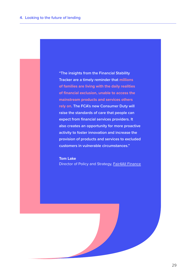**"The insights from the Financial Stability Tracker are a timely reminder that millions of families are living with the daily realities of financial exclusion, unable to access the mainstream products and services others rely on. The FCA's new Consumer Duty will raise the standards of care that people can expect from financial services providers. It also creates an opportunity for more proactive activity to foster innovation and increase the provision of products and services to excluded customers in vulnerable circumstances."**

**Tom Lake** Director of Policy and Strategy, [Fair4All Finance](https://fair4allfinance.org.uk/)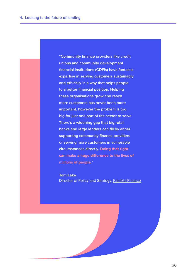**"Community finance providers like credit unions and community development financial institutions (CDFIs) have fantastic expertise in serving customers sustainably and ethically in a way that helps people to a better financial position. Helping these organisations grow and reach more customers has never been more important, however the problem is too big for just one part of the sector to solve. There's a widening gap that big retail banks and large lenders can fill by either supporting community finance providers or serving more customers in vulnerable circumstances directly. Doing that right can make a huge difference to the lives of millions of people."**

**Tom Lake** Director of Policy and Strategy, [Fair4All Finance](https://fair4allfinance.org.uk/)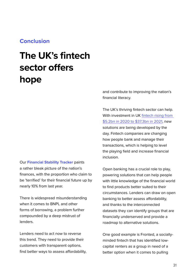### **Conclusion**

## **The UK's fintech sector offers hope**

Our **Financial Stability Tracker** paints a rather bleak picture of the nation's finances, with the proportion who claim to be 'terrified' for their financial future up by nearly 10% from last year.

There is widespread misunderstanding when it comes to BNPL and other forms of borrowing, a problem further compounded by a deep mistrust of lenders.

Lenders need to act now to reverse this trend. They need to provide their customers with transparent options, find better ways to assess affordability, and contribute to improving the nation's financial literacy.

The UK's thriving fintech sector can help. With investment in UK fintech rising from [\\$5.2bn in 2020 to \\$37.3bn in 2021](https://www.computerweekly.com/news/252513093/UK-fintech-investment-sees-sevenfold-increase-in-a-year), new solutions are being developed by the day. Fintech companies are changing how people bank and manage their transactions, which is helping to level the playing field and increase financial inclusion.

Open banking has a crucial role to play, powering solutions that can help people with little knowledge of the financial world to find products better suited to their circumstances. Lenders can draw on open banking to better assess affordability, and thanks to the interconnected datasets they can identify groups that are financially underserved and provide a roadmap to alternative solutions.

One good example is Fronted, a sociallyminded fintech that has identified lowcapital renters as a group in need of a better option when it comes to pulling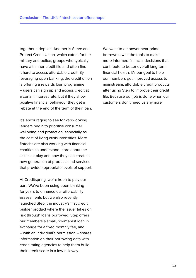together a deposit. Another is Serve and Protect Credit Union, which caters for the military and police, groups who typically have a thinner credit file and often find it hard to access affordable credit. By leveraging open banking, the credit union is offering a rewards loan programme – users can sign up and access credit at a certain interest rate, but if they show positive financial behaviour they get a rebate at the end of the term of their loan.

It's encouraging to see forward-looking lenders begin to prioritise consumer wellbeing and protection, especially as the cost of living crisis intensifies. More fintechs are also working with financial charities to understand more about the issues at play and how they can create a new generation of products and services that provide appropriate levels of support.

At Creditspring, we're keen to play our part. We've been using open banking for years to enhance our affordability assessments but we also recently launched Step, the industry's first credit builder product where the issuer takes on risk through loans borrowed. Step offers our members a small, no-interest loan in exchange for a fixed monthly fee, and – with an individual's permission – shares information on their borrowing data with credit rating agencies to help them build their credit score in a low-risk way.

We want to empower near-prime borrowers with the tools to make more informed financial decisions that contribute to better overall long-term financial health. It's our goal to help our members get improved access to mainstream, affordable credit products after using Step to improve their credit file. Because our job is done when our customers don't need us anymore.